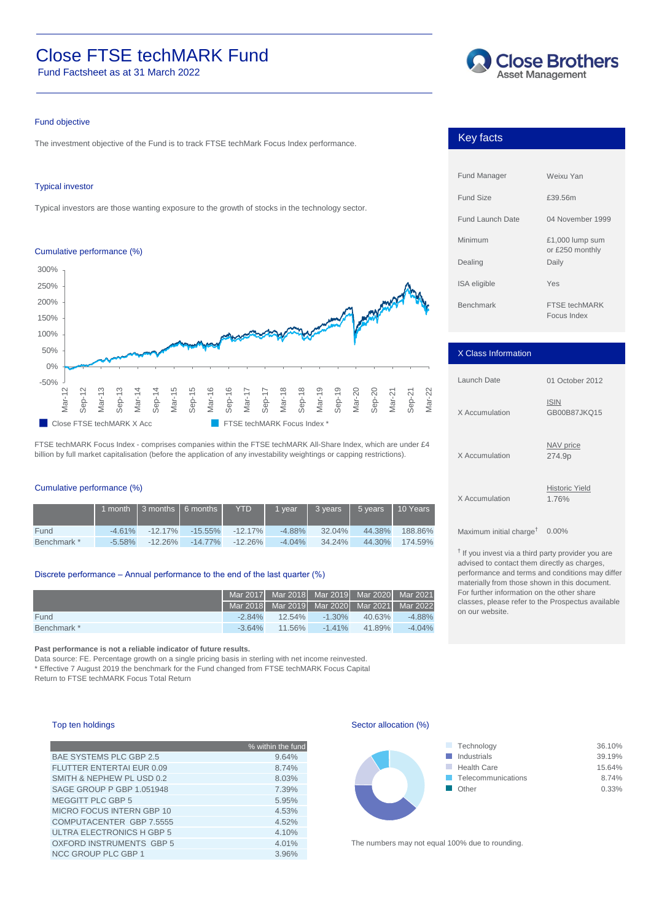# Close FTSE techMARK Fund Fund Factsheet as at 31 March 2022

Fund Factsheet as at 31 March 2022



### Fund objective

The The investment objective of the Fund is to track FTSE techMark Focus Index performance.

## Typical investor

Typical investors are those wanting exposure to the growth of stocks in the technology sector.

#### Cumulative performance (%)



FTSE techMARK Focus Index - comprises companies within the FTSE techMARK All-Share Index, which are under £4 billion by full market capitalisation (before the application of any investability weightings or capping restrictions).

# Cumulative performance (%)

|             |           | 1 month 1 3 months 1 6 months 1 | <b>YTD</b>            | $\frac{1}{2}$ vear $\frac{1}{2}$ | $13 \text{ years}$ | $5 \mathrm{years}$ 10 Years |         |
|-------------|-----------|---------------------------------|-----------------------|----------------------------------|--------------------|-----------------------------|---------|
| Fund        | $-4.61\%$ | $-12.17\%$                      | $-15.55\% -12.17\%$   | -4.88%                           | 32.04%             | 44.38%                      | 188.86% |
| Benchmark * | $-5.58\%$ | $-12.26\%$                      | $-14.77\%$ $-12.26\%$ | $-4.04\%$                        | 34.24%             | 44.30%                      | 174.59% |

## Discrete performance – Annual performance to the end of the last quarter (%)

|             | Mar 2017   Mar 2018   Mar 2019   Mar 2020   Mar 2021 |                     |           |        |           |
|-------------|------------------------------------------------------|---------------------|-----------|--------|-----------|
|             | Mar 2018 Mar 2019 Mar 2020 Mar 2021 Mar 2022         |                     |           |        |           |
| Fund        |                                                      | $-2.84\%$ $12.54\%$ | $-1.30\%$ | 40.63% | -4.88%    |
| Benchmark * | $-3.64\%$                                            | 11.56%              | $-1.41\%$ | 41.89% | $-4.04\%$ |

**Past performance is not a reliable indicator of future results.** 

Data source: FE. Percentage growth on a single pricing basis in sterling with net income reinvested. \* Effective 7 August 2019 the benchmark for the Fund changed from FTSE techMARK Focus Capital Return to FTSE techMARK Focus Total Return

# Top ten holdings

|                                  | % within the fund |
|----------------------------------|-------------------|
| <b>BAE SYSTEMS PLC GBP 2.5</b>   | 9.64%             |
| FLUTTER ENTERTAI EUR 0.09        | 8.74%             |
| SMITH & NEPHEW PL USD 0.2        | 8.03%             |
| SAGE GROUP P GBP 1.051948        | 7.39%             |
| <b>MEGGITT PLC GBP 5</b>         | 5.95%             |
| <b>MICRO FOCUS INTERN GBP 10</b> | 4.53%             |
| COMPUTACENTER GBP 7.5555         | 4.52%             |
| ULTRA ELECTRONICS H GBP 5        | 4.10%             |
| <b>OXFORD INSTRUMENTS GBP 5</b>  | 4.01%             |
| <b>NCC GROUP PLC GBP 1</b>       | 3.96%             |

Sector allocation (%)



The numbers may not equal 100% due to rounding.

# Key Facts Key facts

| <b>Fund Manager</b>     | Weixu Yan                            |
|-------------------------|--------------------------------------|
| Fund Size               | £39.56m                              |
| <b>Fund Launch Date</b> | 04 November 1999                     |
| Minimum                 | $£1,000$ lump sum<br>or £250 monthly |
| Dealing                 | Daily                                |
| <b>ISA</b> eligible     | Yes                                  |
| <b>Benchmark</b>        | FTSF techMARK<br>Focus Index         |

| X Class Information |                                |
|---------------------|--------------------------------|
| Launch Date         | 01 October 2012                |
| X Accumulation      | <b>ISIN</b><br>GB00B87JKQ15    |
| X Accumulation      | NAV price<br>274.9p            |
| X Accumulation      | <b>Historic Yield</b><br>1.76% |

 $Maximum$  initial charge $^{\dagger}$  0.00%

† If you invest via a third party provider you are advised to contact them directly as charges, performance and terms and conditions may differ materially from those shown in this document. For further information on the other share classes, please refer to the Prospectus available on our website.